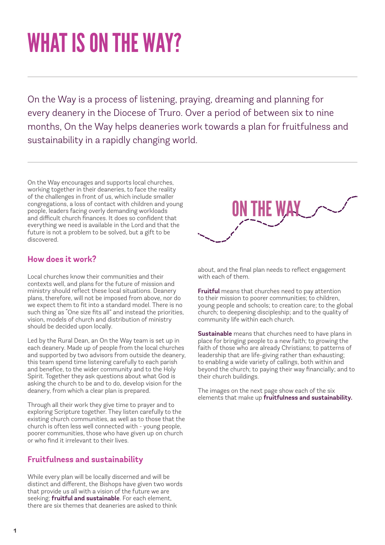# WHAT IS ON THE WAY?

On the Way is a process of listening, praying, dreaming and planning for every deanery in the Diocese of Truro. Over a period of between six to nine months, On the Way helps deaneries work towards a plan for fruitfulness and sustainability in a rapidly changing world.

On the Way encourages and supports local churches, working together in their deaneries, to face the reality of the challenges in front of us, which include smaller congregations, a loss of contact with children and young people, leaders facing overly demanding workloads and difficult church finances. It does so confident that everything we need is available in the Lord and that the future is not a problem to be solved, but a gift to be discovered.

#### **How does it work?**

Local churches know their communities and their contexts well, and plans for the future of mission and ministry should reflect these local situations. Deanery plans, therefore, will not be imposed from above, nor do we expect them to fit into a standard model. There is no such thing as "One size fits all" and instead the priorities, vision, models of church and distribution of ministry should be decided upon locally.

Led by the Rural Dean, an On the Way team is set up in each deanery. Made up of people from the local churches and supported by two advisors from outside the deanery, this team spend time listening carefully to each parish and benefice, to the wider community and to the Holy Spirit. Together they ask questions about what God is asking the church to be and to do, develop vision for the deanery, from which a clear plan is prepared.

Through all their work they give time to prayer and to exploring Scripture together. They listen carefully to the existing church communities, as well as to those that the church is often less well connected with - young people, poorer communities, those who have given up on church or who find it irrelevant to their lives.

#### **Fruitfulness and sustainability**

While every plan will be locally discerned and will be distinct and different, the Bishops have given two words that provide us all with a vision of the future we are seeking; **fruitful and sustainable**. For each element, there are six themes that deaneries are asked to think



about, and the final plan needs to reflect engagement with each of them.

**Fruitful** means that churches need to pay attention to their mission to poorer communities; to children, young people and schools; to creation care; to the global church; to deepening discipleship; and to the quality of community life within each church.

**Sustainable** means that churches need to have plans in place for bringing people to a new faith; to growing the faith of those who are already Christians; to patterns of leadership that are life-giving rather than exhausting; to enabling a wide variety of callings, both within and beyond the church; to paying their way financially; and to their church buildings.

The images on the next page show each of the six elements that make up **fruitfulness and sustainability.**